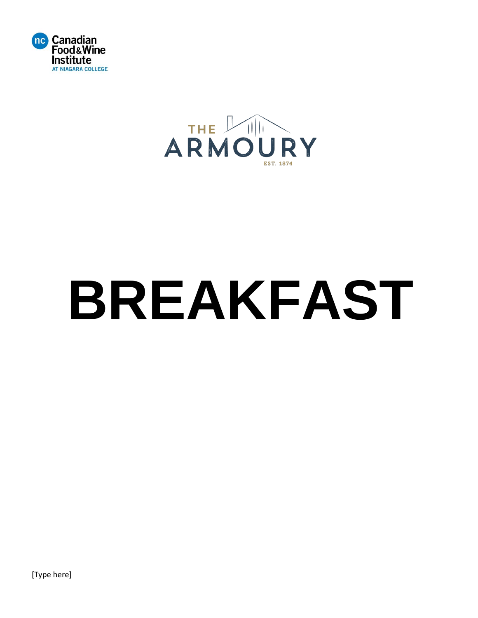



# **BREAKFAST**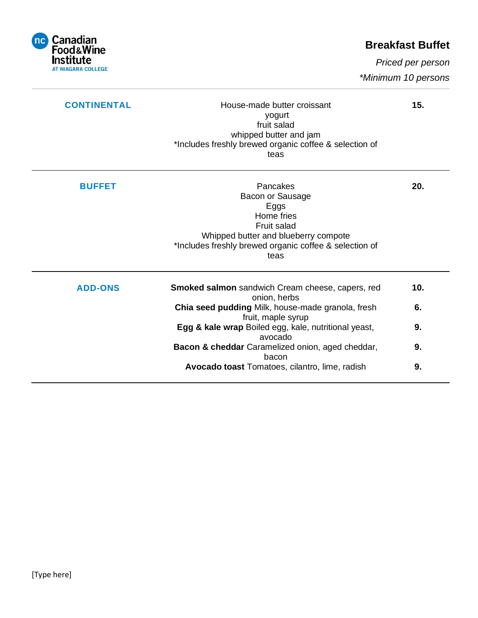

# **Breakfast Buffet**

 *Priced per person*

 *\*Minimum 10 persons*

| <b>CONTINENTAL</b> | House-made butter croissant<br>yogurt<br>fruit salad<br>whipped butter and jam<br>*Includes freshly brewed organic coffee & selection of<br>teas                            | 15. |
|--------------------|-----------------------------------------------------------------------------------------------------------------------------------------------------------------------------|-----|
| <b>BUFFET</b>      | Pancakes<br>Bacon or Sausage<br>Eggs<br>Home fries<br>Fruit salad<br>Whipped butter and blueberry compote<br>*Includes freshly brewed organic coffee & selection of<br>teas | 20. |
| <b>ADD-ONS</b>     | Smoked salmon sandwich Cream cheese, capers, red<br>onion, herbs                                                                                                            | 10. |
|                    | Chia seed pudding Milk, house-made granola, fresh<br>fruit, maple syrup                                                                                                     | 6.  |
|                    | Egg & kale wrap Boiled egg, kale, nutritional yeast,<br>avocado                                                                                                             | 9.  |
|                    | Bacon & cheddar Caramelized onion, aged cheddar,<br>bacon                                                                                                                   | 9.  |
|                    | Avocado toast Tomatoes, cilantro, lime, radish                                                                                                                              | 9.  |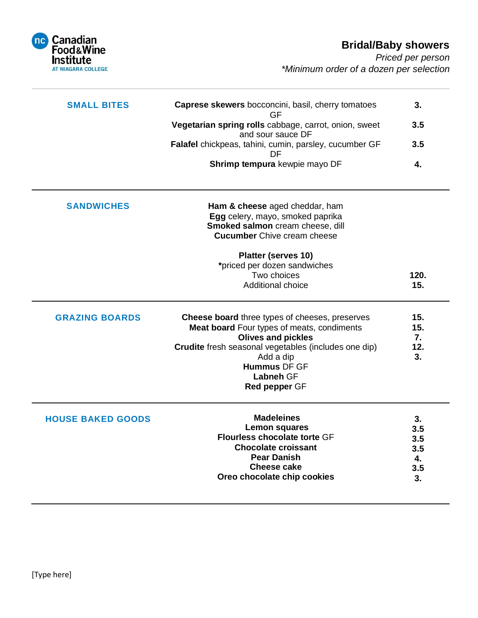# **Bridal/Baby showers**

*Priced per person \*Minimum order of a dozen per selection*



| <b>SMALL BITES</b>       | Caprese skewers bocconcini, basil, cherry tomatoes<br>GF                                                                                     | 3.               |
|--------------------------|----------------------------------------------------------------------------------------------------------------------------------------------|------------------|
|                          | Vegetarian spring rolls cabbage, carrot, onion, sweet<br>and sour sauce DF                                                                   | 3.5              |
|                          | Falafel chickpeas, tahini, cumin, parsley, cucumber GF<br>DF                                                                                 | 3.5              |
|                          | Shrimp tempura kewpie mayo DF                                                                                                                | 4.               |
| <b>SANDWICHES</b>        | Ham & cheese aged cheddar, ham<br>Egg celery, mayo, smoked paprika<br>Smoked salmon cream cheese, dill<br><b>Cucumber</b> Chive cream cheese |                  |
|                          | Platter (serves 10)                                                                                                                          |                  |
|                          | *priced per dozen sandwiches                                                                                                                 |                  |
|                          | Two choices                                                                                                                                  | 120.             |
|                          | <b>Additional choice</b>                                                                                                                     | 15.              |
| <b>GRAZING BOARDS</b>    | Cheese board three types of cheeses, preserves<br>Meat board Four types of meats, condiments<br><b>Olives and pickles</b>                    | 15.<br>15.<br>7. |
|                          | Crudite fresh seasonal vegetables (includes one dip)                                                                                         | 12.              |
|                          | Add a dip                                                                                                                                    | 3.               |
|                          | <b>Hummus DF GF</b><br><b>Labneh GF</b>                                                                                                      |                  |
|                          | Red pepper GF                                                                                                                                |                  |
| <b>HOUSE BAKED GOODS</b> | <b>Madeleines</b>                                                                                                                            | 3.               |
|                          | <b>Lemon squares</b><br><b>Flourless chocolate torte GF</b>                                                                                  | 3.5              |
|                          | <b>Chocolate croissant</b>                                                                                                                   | 3.5<br>3.5       |
|                          | <b>Pear Danish</b>                                                                                                                           | 4.               |
|                          | <b>Cheese cake</b>                                                                                                                           | 3.5              |
|                          | Oreo chocolate chip cookies                                                                                                                  | 3.               |
|                          |                                                                                                                                              |                  |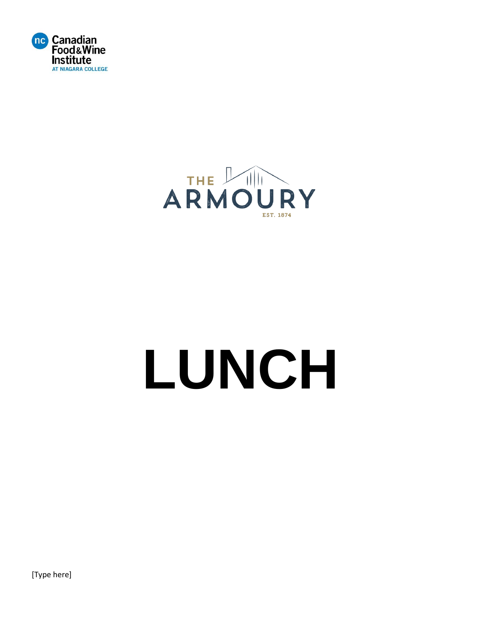



# **LUNCH**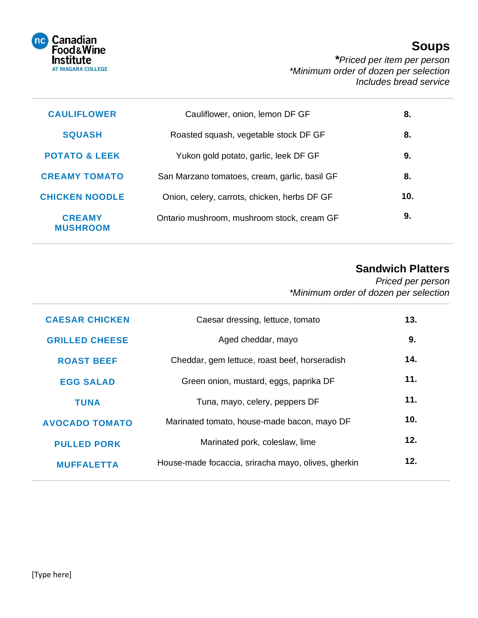

# **Soups**

 *\*Priced per item per person \*Minimum order of dozen per selection Includes bread service*

| 8.  | Cauliflower, onion, lemon DF GF               | <b>CAULIFLOWER</b>               |
|-----|-----------------------------------------------|----------------------------------|
| 8.  | Roasted squash, vegetable stock DF GF         | <b>SQUASH</b>                    |
| 9.  | Yukon gold potato, garlic, leek DF GF         | <b>POTATO &amp; LEEK</b>         |
| 8.  | San Marzano tomatoes, cream, garlic, basil GF | <b>CREAMY TOMATO</b>             |
| 10. | Onion, celery, carrots, chicken, herbs DF GF  | <b>CHICKEN NOODLE</b>            |
| 9.  | Ontario mushroom, mushroom stock, cream GF    | <b>CREAMY</b><br><b>MUSHROOM</b> |

# **Sandwich Platters**

*Priced per person \*Minimum order of dozen per selection*

| <b>CAESAR CHICKEN</b> | Caesar dressing, lettuce, tomato                    | 13. |
|-----------------------|-----------------------------------------------------|-----|
| <b>GRILLED CHEESE</b> | Aged cheddar, mayo                                  | 9.  |
| <b>ROAST BEEF</b>     | Cheddar, gem lettuce, roast beef, horseradish       | 14. |
| <b>EGG SALAD</b>      | Green onion, mustard, eggs, paprika DF              | 11. |
| <b>TUNA</b>           | Tuna, mayo, celery, peppers DF                      | 11. |
| <b>AVOCADO TOMATO</b> | Marinated tomato, house-made bacon, mayo DF         | 10. |
| <b>PULLED PORK</b>    | Marinated pork, coleslaw, lime                      | 12. |
| <b>MUFFALETTA</b>     | House-made focaccia, sriracha mayo, olives, gherkin | 12. |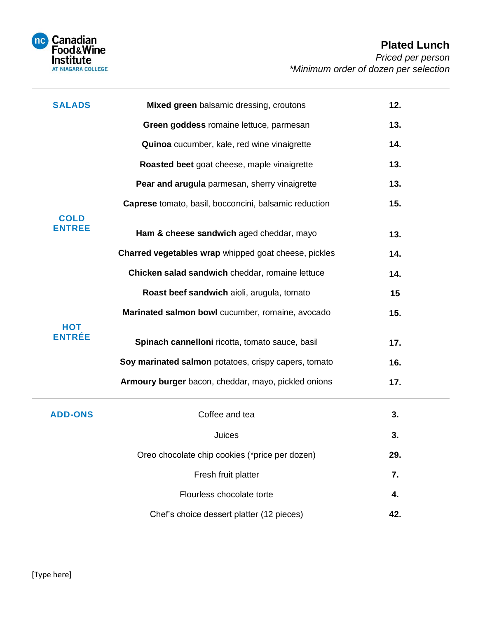

| <b>SALADS</b>                | Mixed green balsamic dressing, croutons               | 12. |
|------------------------------|-------------------------------------------------------|-----|
|                              | Green goddess romaine lettuce, parmesan               | 13. |
|                              | Quinoa cucumber, kale, red wine vinaigrette           | 14. |
|                              | Roasted beet goat cheese, maple vinaigrette           | 13. |
|                              | Pear and arugula parmesan, sherry vinaigrette         | 13. |
|                              | Caprese tomato, basil, bocconcini, balsamic reduction | 15. |
| <b>COLD</b><br><b>ENTREE</b> | Ham & cheese sandwich aged cheddar, mayo              | 13. |
|                              | Charred vegetables wrap whipped goat cheese, pickles  | 14. |
|                              | Chicken salad sandwich cheddar, romaine lettuce       | 14. |
|                              | Roast beef sandwich aioli, arugula, tomato            | 15  |
|                              | Marinated salmon bowl cucumber, romaine, avocado      | 15. |
| <b>HOT</b><br><b>ENTRÉE</b>  | Spinach cannelloni ricotta, tomato sauce, basil       | 17. |
|                              | Soy marinated salmon potatoes, crispy capers, tomato  | 16. |
|                              | Armoury burger bacon, cheddar, mayo, pickled onions   | 17. |
| <b>ADD-ONS</b>               | Coffee and tea                                        | 3.  |
|                              | Juices                                                | 3.  |
|                              | Oreo chocolate chip cookies (*price per dozen)        | 29. |
|                              | Fresh fruit platter                                   | 7.  |
|                              | Flourless chocolate torte                             | 4.  |
|                              | Chef's choice dessert platter (12 pieces)             | 42. |
|                              |                                                       |     |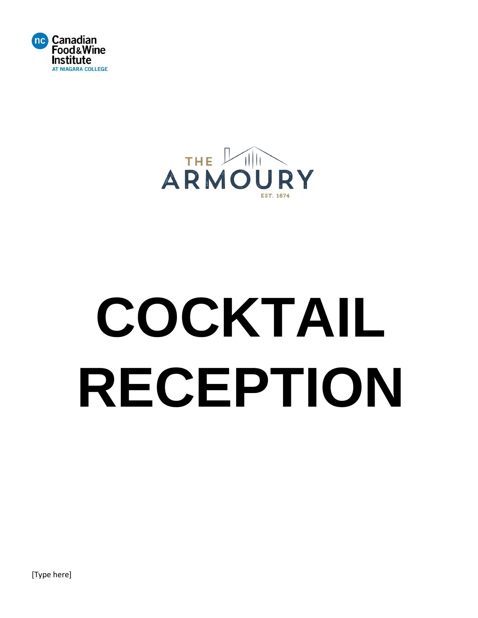



# **COCKTAIL RECEPTION**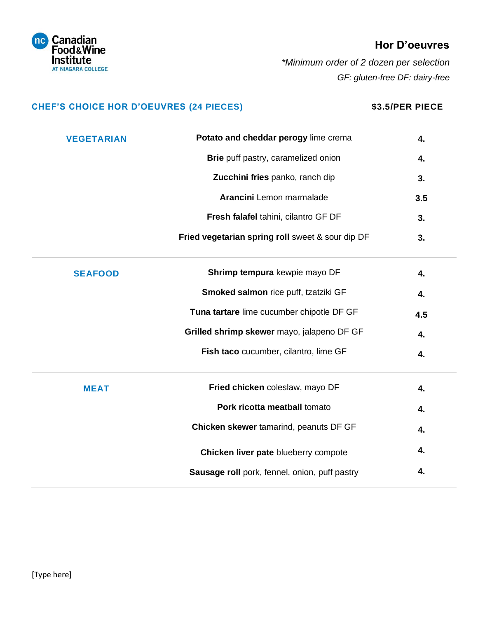

## **Hor D'oeuvres**

 *\*Minimum order of 2 dozen per selection GF: gluten-free DF: dairy-free*

## **CHEF'S CHOICE HOR D'OEUVRES (24 PIECES) \$3.5/PER PIECE**

| <b>VEGETARIAN</b> | Potato and cheddar perogy lime crema             | 4.  |
|-------------------|--------------------------------------------------|-----|
|                   | Brie puff pastry, caramelized onion              | 4.  |
|                   | Zucchini fries panko, ranch dip                  | 3.  |
|                   | Arancini Lemon marmalade                         | 3.5 |
|                   | Fresh falafel tahini, cilantro GF DF             | 3.  |
|                   | Fried vegetarian spring roll sweet & sour dip DF | 3.  |
| <b>SEAFOOD</b>    | Shrimp tempura kewpie mayo DF                    | 4.  |
|                   | Smoked salmon rice puff, tzatziki GF             | 4.  |
|                   | Tuna tartare lime cucumber chipotle DF GF        | 4.5 |
|                   | Grilled shrimp skewer mayo, jalapeno DF GF       | 4.  |
|                   | Fish taco cucumber, cilantro, lime GF            | 4.  |
| <b>MEAT</b>       | Fried chicken coleslaw, mayo DF                  | 4.  |
|                   | Pork ricotta meatball tomato                     | 4.  |
|                   | Chicken skewer tamarind, peanuts DF GF           | 4.  |
|                   | Chicken liver pate blueberry compote             | 4.  |
|                   | Sausage roll pork, fennel, onion, puff pastry    | 4.  |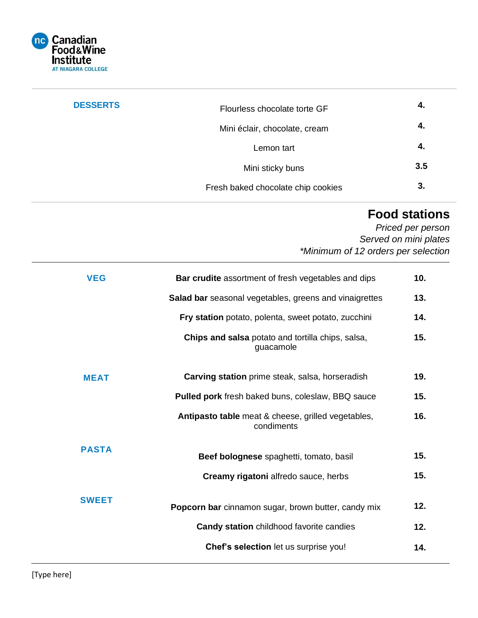

| <b>DESSERTS</b> | Flourless chocolate torte GF       | 4.  |
|-----------------|------------------------------------|-----|
|                 | Mini éclair, chocolate, cream      | 4.  |
|                 | Lemon tart                         | -4. |
|                 | Mini sticky buns                   | 3.5 |
|                 | Fresh baked chocolate chip cookies | 3.  |

# **Food stations**

*Priced per person Served on mini plates \*Minimum of 12 orders per selection*

| <b>VEG</b>   | <b>Bar crudite</b> assortment of fresh vegetables and dips       | 10. |
|--------------|------------------------------------------------------------------|-----|
|              | Salad bar seasonal vegetables, greens and vinaigrettes           | 13. |
|              | Fry station potato, polenta, sweet potato, zucchini              | 14. |
|              | Chips and salsa potato and tortilla chips, salsa,<br>guacamole   | 15. |
| <b>MEAT</b>  | Carving station prime steak, salsa, horseradish                  | 19. |
|              | Pulled pork fresh baked buns, coleslaw, BBQ sauce                | 15. |
|              | Antipasto table meat & cheese, grilled vegetables,<br>condiments | 16. |
| <b>PASTA</b> | Beef bolognese spaghetti, tomato, basil                          | 15. |
|              | Creamy rigatoni alfredo sauce, herbs                             | 15. |
| <b>SWEET</b> | Popcorn bar cinnamon sugar, brown butter, candy mix              | 12. |
|              | Candy station childhood favorite candies                         | 12. |
|              | Chef's selection let us surprise you!                            | 14. |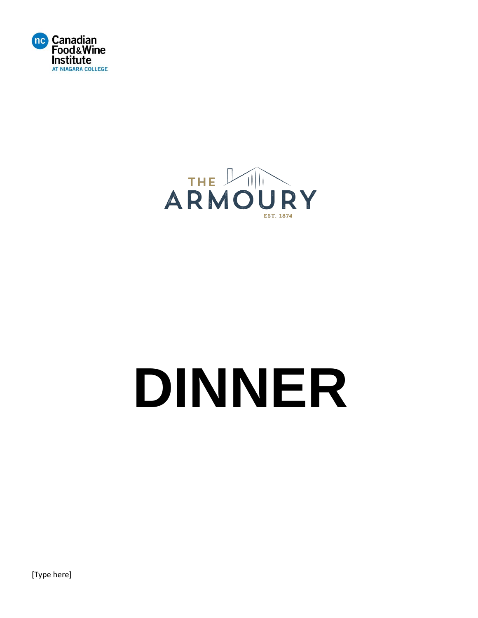



# **DINNER**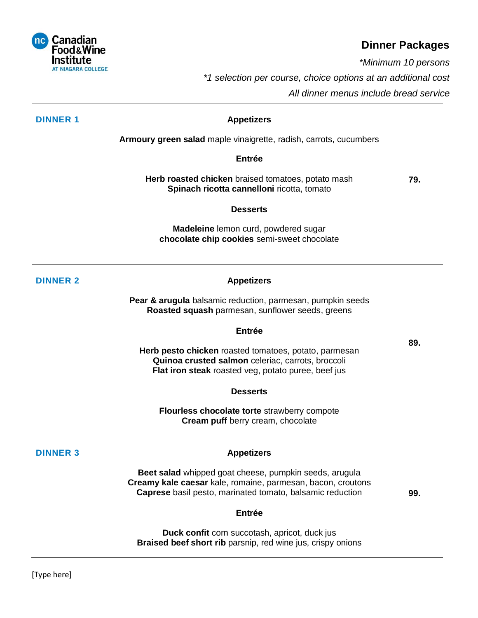

### **Dinner Packages**

 *\*Minimum 10 persons*

 *\*1 selection per course, choice options at an additional cost*

*All dinner menus include bread service*

#### **DINNER 1 Appetizers**

**Armoury green salad** maple vinaigrette, radish, carrots, cucumbers

**Entrée**

**Herb roasted chicken** braised tomatoes, potato mash **Spinach ricotta cannelloni** ricotta, tomato **79.**

#### **Desserts**

**Madeleine** lemon curd, powdered sugar **chocolate chip cookies** semi-sweet chocolate

### **DINNER 2 Appetizers**

**Pear & arugula** balsamic reduction, parmesan, pumpkin seeds **Roasted squash** parmesan, sunflower seeds, greens

### **Entrée**

**Herb pesto chicken** roasted tomatoes, potato, parmesan **Quinoa crusted salmon** celeriac, carrots, broccoli **Flat iron steak** roasted veg, potato puree, beef jus

**Desserts**

**Flourless chocolate torte** strawberry compote **Cream puff** berry cream, chocolate

### **DINNER 3 Appetizers**

**Beet salad** whipped goat cheese, pumpkin seeds, arugula **Creamy kale caesar** kale, romaine, parmesan, bacon, croutons **Caprese** basil pesto, marinated tomato, balsamic reduction

**99.**

**89.**

#### **Entrée**

**Duck confit** corn succotash, apricot, duck jus **Braised beef short rib** parsnip, red wine jus, crispy onions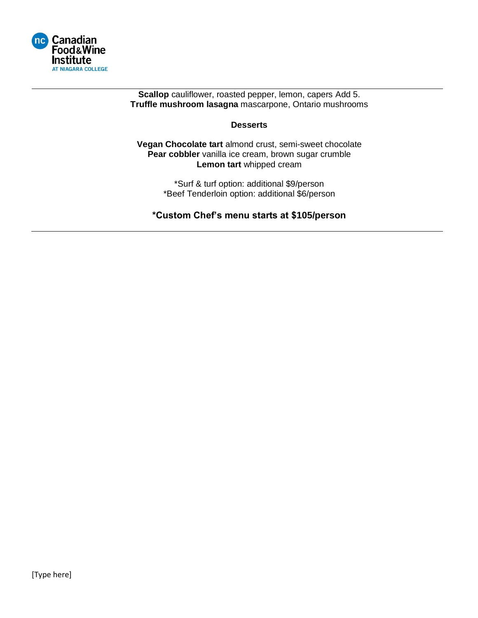

**Scallop** cauliflower, roasted pepper, lemon, capers Add 5. **Truffle mushroom lasagna** mascarpone, Ontario mushrooms

### **Desserts**

**Vegan Chocolate tart** almond crust, semi-sweet chocolate Pear cobbler vanilla ice cream, brown sugar crumble **Lemon tart** whipped cream

> \*Surf & turf option: additional \$9/person \*Beef Tenderloin option: additional \$6/person

**\*Custom Chef's menu starts at \$105/person**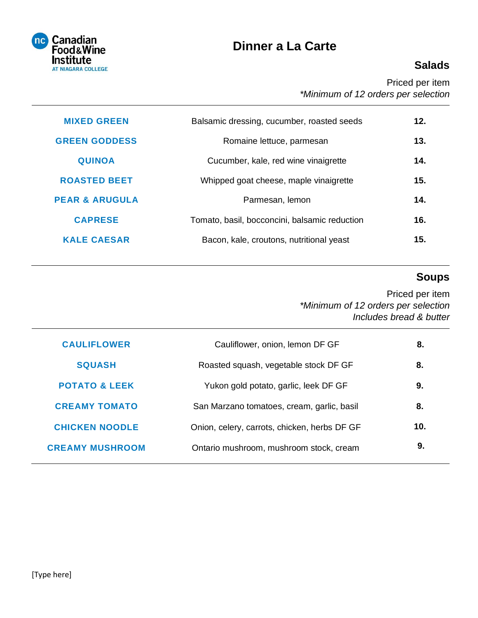

# **Dinner a La Carte**

# **Salads**

Priced per item *\*Minimum of 12 orders per selection*

| <b>MIXED GREEN</b>        | Balsamic dressing, cucumber, roasted seeds    | 12. |
|---------------------------|-----------------------------------------------|-----|
| <b>GREEN GODDESS</b>      | Romaine lettuce, parmesan                     | 13. |
| <b>QUINOA</b>             | Cucumber, kale, red wine vinaigrette          | 14. |
| <b>ROASTED BEET</b>       | Whipped goat cheese, maple vinaigrette        | 15. |
| <b>PEAR &amp; ARUGULA</b> | Parmesan, lemon                               | 14. |
| <b>CAPRESE</b>            | Tomato, basil, bocconcini, balsamic reduction | 16. |
| <b>KALE CAESAR</b>        | Bacon, kale, croutons, nutritional yeast      | 15. |
|                           |                                               |     |

# **Soups**

Priced per item *\*Minimum of 12 orders per selection Includes bread & butter*

| <b>CAULIFLOWER</b>       | Cauliflower, onion, lemon DF GF              | 8.  |
|--------------------------|----------------------------------------------|-----|
| <b>SQUASH</b>            | Roasted squash, vegetable stock DF GF        | 8.  |
| <b>POTATO &amp; LEEK</b> | Yukon gold potato, garlic, leek DF GF        | 9.  |
| <b>CREAMY TOMATO</b>     | San Marzano tomatoes, cream, garlic, basil   | 8.  |
| <b>CHICKEN NOODLE</b>    | Onion, celery, carrots, chicken, herbs DF GF | 10. |
| <b>CREAMY MUSHROOM</b>   | Ontario mushroom, mushroom stock, cream      | 9.  |
|                          |                                              |     |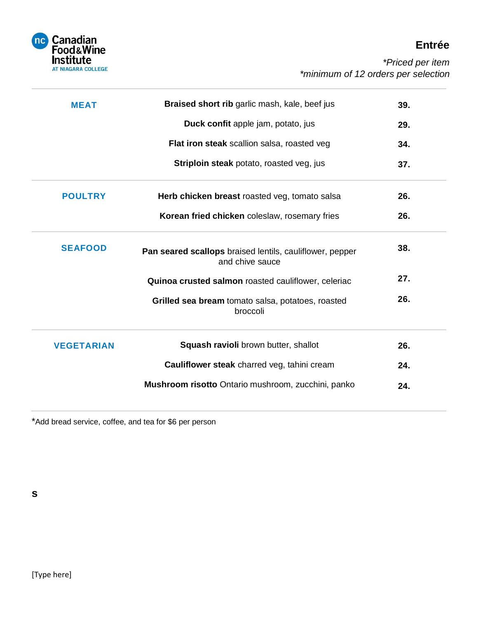

# **Entrée**

| <b>MEAT</b>       | Braised short rib garlic mash, kale, beef jus                               | 39. |
|-------------------|-----------------------------------------------------------------------------|-----|
|                   | Duck confit apple jam, potato, jus                                          | 29. |
|                   | Flat iron steak scallion salsa, roasted veg                                 | 34. |
|                   | Striploin steak potato, roasted veg, jus                                    | 37. |
| <b>POULTRY</b>    | Herb chicken breast roasted veg, tomato salsa                               | 26. |
|                   | Korean fried chicken coleslaw, rosemary fries                               | 26. |
| <b>SEAFOOD</b>    | Pan seared scallops braised lentils, cauliflower, pepper<br>and chive sauce | 38. |
|                   | Quinoa crusted salmon roasted cauliflower, celeriac                         | 27. |
|                   | Grilled sea bream tomato salsa, potatoes, roasted<br>broccoli               | 26. |
| <b>VEGETARIAN</b> | Squash ravioli brown butter, shallot                                        | 26. |
|                   | Cauliflower steak charred veg, tahini cream                                 | 24. |
|                   | Mushroom risotto Ontario mushroom, zucchini, panko                          | 24. |

\*Add bread service, coffee, and tea for \$6 per person